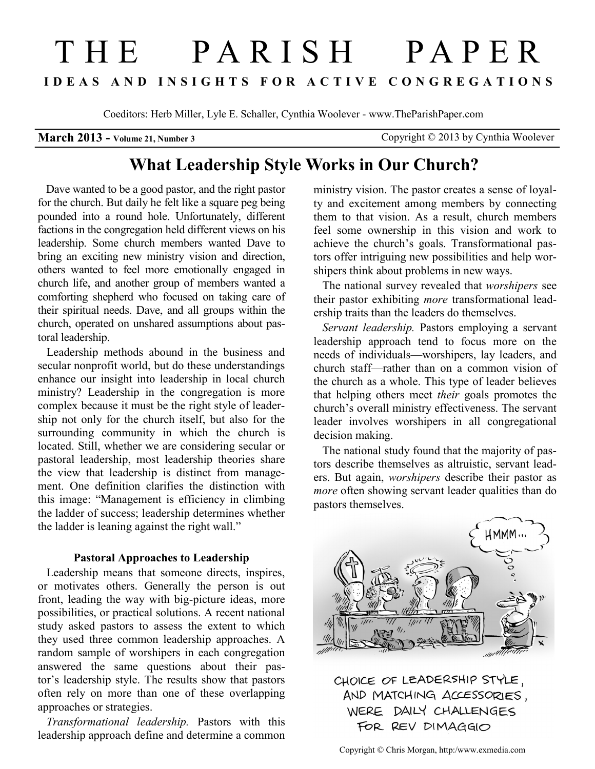# THE PARISH PAPER **I D E A S A N D I N S I G H T S F O R A C T I V E C O N G R E G A T I O N S**

Coeditors: Herb Miller, Lyle E. Schaller, Cynthia Woolever - www.TheParishPaper.com

**March 2013 - Volume 21, Number 3** Copyright © 2013 by Cynthia Woolever

## **What Leadership Style Works in Our Church?**

 Dave wanted to be a good pastor, and the right pastor for the church. But daily he felt like a square peg being pounded into a round hole. Unfortunately, different factions in the congregation held different views on his leadership. Some church members wanted Dave to bring an exciting new ministry vision and direction, others wanted to feel more emotionally engaged in church life, and another group of members wanted a comforting shepherd who focused on taking care of their spiritual needs. Dave, and all groups within the church, operated on unshared assumptions about pastoral leadership.

 Leadership methods abound in the business and secular nonprofit world, but do these understandings enhance our insight into leadership in local church ministry? Leadership in the congregation is more complex because it must be the right style of leadership not only for the church itself, but also for the surrounding community in which the church is located. Still, whether we are considering secular or pastoral leadership, most leadership theories share the view that leadership is distinct from management. One definition clarifies the distinction with this image: "Management is efficiency in climbing the ladder of success; leadership determines whether the ladder is leaning against the right wall."

#### **Pastoral Approaches to Leadership**

 Leadership means that someone directs, inspires, or motivates others. Generally the person is out front, leading the way with big-picture ideas, more possibilities, or practical solutions. A recent national study asked pastors to assess the extent to which they used three common leadership approaches. A random sample of worshipers in each congregation answered the same questions about their pastor's leadership style. The results show that pastors often rely on more than one of these overlapping approaches or strategies.

 *Transformational leadership.* Pastors with this leadership approach define and determine a common

ministry vision. The pastor creates a sense of loyalty and excitement among members by connecting them to that vision. As a result, church members feel some ownership in this vision and work to achieve the church's goals. Transformational pastors offer intriguing new possibilities and help worshipers think about problems in new ways.

 The national survey revealed that *worshipers* see their pastor exhibiting *more* transformational leadership traits than the leaders do themselves.

 *Servant leadership.* Pastors employing a servant leadership approach tend to focus more on the needs of individuals—worshipers, lay leaders, and church staff—rather than on a common vision of the church as a whole. This type of leader believes that helping others meet *their* goals promotes the church's overall ministry effectiveness. The servant leader involves worshipers in all congregational decision making.

 The national study found that the majority of pastors describe themselves as altruistic, servant leaders. But again, *worshipers* describe their pastor as *more* often showing servant leader qualities than do pastors themselves.



CHOICE OF LEADERSHIP STYLE, AND MATCHING ACCESSORIES, WERE DAILY CHALLENGES FOR REV DIMAGGIO

Copyright © Chris Morgan, http:/www.exmedia.com